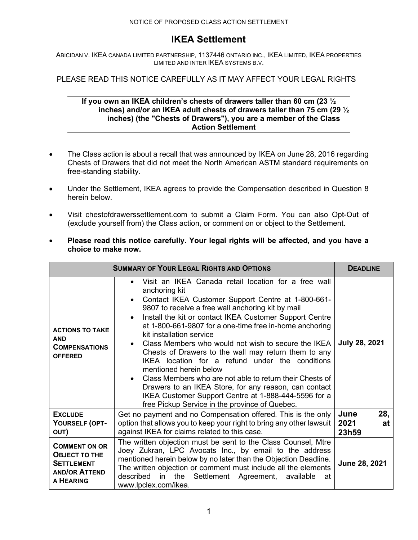#### NOTICE OF PROPOSED CLASS ACTION SETTLEMENT

## **IKEA Settlement**

ABICIDAN V. IKEA CANADA LIMITED PARTNERSHIP, 1137446 ONTARIO INC., IKEA LIMITED, IKEA PROPERTIES LIMITED AND INTER IKEA SYSTEMS B.V.

PLEASE READ THIS NOTICE CAREFULLY AS IT MAY AFFECT YOUR LEGAL RIGHTS

### **If you own an IKEA children's chests of drawers taller than 60 cm (23 ½ inches) and/or an IKEA adult chests of drawers taller than 75 cm (29 ½ inches) (the "Chests of Drawers"), you are a member of the Class Action Settlement**

- The Class action is about a recall that was announced by IKEA on June 28, 2016 regarding Chests of Drawers that did not meet the North American ASTM standard requirements on free-standing stability.
- Under the Settlement, IKEA agrees to provide the Compensation described in Question 8 herein below.
- Visit chestofdrawerssettlement.com to submit a Claim Form. You can also Opt-Out of (exclude yourself from) the Class action, or comment on or object to the Settlement.
- **Please read this notice carefully. Your legal rights will be affected, and you have a choice to make now.**

| <b>SUMMARY OF YOUR LEGAL RIGHTS AND OPTIONS</b>                                                        |                                                                                                                                                                                                                                                                                                                                                                                                                                                                                                                                                                                                                                                                                                                                                               | <b>DEADLINE</b>                    |
|--------------------------------------------------------------------------------------------------------|---------------------------------------------------------------------------------------------------------------------------------------------------------------------------------------------------------------------------------------------------------------------------------------------------------------------------------------------------------------------------------------------------------------------------------------------------------------------------------------------------------------------------------------------------------------------------------------------------------------------------------------------------------------------------------------------------------------------------------------------------------------|------------------------------------|
| <b>ACTIONS TO TAKE</b><br><b>AND</b><br><b>COMPENSATIONS</b><br><b>OFFERED</b>                         | Visit an IKEA Canada retail location for a free wall<br>anchoring kit<br>Contact IKEA Customer Support Centre at 1-800-661-<br>9807 to receive a free wall anchoring kit by mail<br>Install the kit or contact IKEA Customer Support Centre<br>at 1-800-661-9807 for a one-time free in-home anchoring<br>kit installation service<br>Class Members who would not wish to secure the IKEA<br>Chests of Drawers to the wall may return them to any<br>IKEA location for a refund under the conditions<br>mentioned herein below<br>Class Members who are not able to return their Chests of<br>Drawers to an IKEA Store, for any reason, can contact<br>IKEA Customer Support Centre at 1-888-444-5596 for a<br>free Pickup Service in the province of Quebec. | July 28, 2021                      |
| <b>EXCLUDE</b><br>YOURSELF (OPT-<br>OUT)                                                               | Get no payment and no Compensation offered. This is the only<br>option that allows you to keep your right to bring any other lawsuit<br>against IKEA for claims related to this case.                                                                                                                                                                                                                                                                                                                                                                                                                                                                                                                                                                         | 28,<br>June<br>2021<br>at<br>23h59 |
| <b>COMMENT ON OR</b><br><b>OBJECT TO THE</b><br><b>SETTLEMENT</b><br><b>AND/OR ATTEND</b><br>A HEARING | The written objection must be sent to the Class Counsel, Mtre<br>Joey Zukran, LPC Avocats Inc., by email to the address<br>mentioned herein below by no later than the Objection Deadline.<br>The written objection or comment must include all the elements<br>described<br>the<br>in.<br>Settlement Agreement,<br>available<br>at<br>www.lpclex.com/ikea.                                                                                                                                                                                                                                                                                                                                                                                                   | June 28, 2021                      |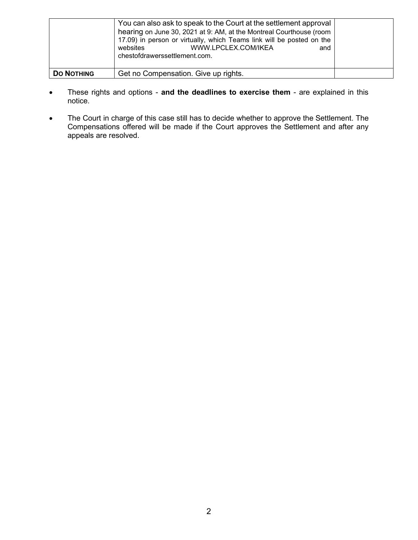|                   | You can also ask to speak to the Court at the settlement approval<br>hearing on June 30, 2021 at 9: AM, at the Montreal Courthouse (room<br>17.09) in person or virtually, which Teams link will be posted on the<br>WWW.LPCLEX.COM/IKEA<br>websites<br>and<br>chestofdrawerssettlement.com. |  |
|-------------------|----------------------------------------------------------------------------------------------------------------------------------------------------------------------------------------------------------------------------------------------------------------------------------------------|--|
| <b>DO NOTHING</b> | Get no Compensation. Give up rights.                                                                                                                                                                                                                                                         |  |

- These rights and options **and the deadlines to exercise them** are explained in this notice.
- The Court in charge of this case still has to decide whether to approve the Settlement. The Compensations offered will be made if the Court approves the Settlement and after any appeals are resolved.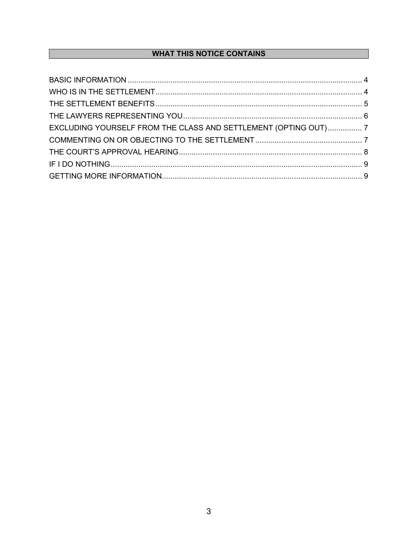## **WHAT THIS NOTICE CONTAINS**

| EXCLUDING YOURSELF FROM THE CLASS AND SETTLEMENT (OPTING OUT) 7 |  |
|-----------------------------------------------------------------|--|
|                                                                 |  |
|                                                                 |  |
|                                                                 |  |
|                                                                 |  |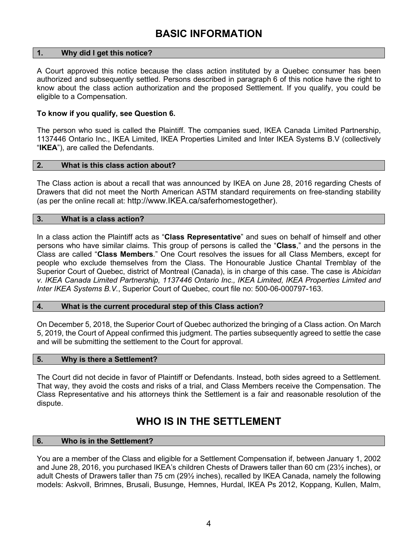## **BASIC INFORMATION**

## <span id="page-3-0"></span>**1. Why did I get this notice?**

A Court approved this notice because the class action instituted by a Quebec consumer has been authorized and subsequently settled. Persons described in paragraph [6](#page-3-2) of this notice have the right to know about the class action authorization and the proposed Settlement. If you qualify, you could be eligible to a Compensation.

#### **To know if you qualify, see Question 6.**

The person who sued is called the Plaintiff. The companies sued, IKEA Canada Limited Partnership, 1137446 Ontario Inc., IKEA Limited, IKEA Properties Limited and Inter IKEA Systems B.V (collectively "**IKEA**"), are called the Defendants.

#### **2. What is this class action about?**

The Class action is about a recall that was announced by IKEA on June 28, 2016 regarding Chests of Drawers that did not meet the North American ASTM standard requirements on free-standing stability (as per the online recall at: http://www.IKEA.ca/saferhomestogether).

#### **3. What is a class action?**

In a class action the Plaintiff acts as "**Class Representative**" and sues on behalf of himself and other persons who have similar claims. This group of persons is called the "**Class**," and the persons in the Class are called "**Class Members**." One Court resolves the issues for all Class Members, except for people who exclude themselves from the Class. The Honourable Justice Chantal Tremblay of the Superior Court of Quebec, district of Montreal (Canada), is in charge of this case. The case is *Abicidan v. IKEA Canada Limited Partnership, 1137446 Ontario Inc., IKEA Limited, IKEA Properties Limited and Inter IKEA Systems B.V.*, Superior Court of Quebec, court file no: 500-06-000797-163.

#### **4. What is the current procedural step of this Class action?**

On December 5, 2018, the Superior Court of Quebec authorized the bringing of a Class action. On March 5, 2019, the Court of Appeal confirmed this judgment. The parties subsequently agreed to settle the case and will be submitting the settlement to the Court for approval.

#### **5. Why is there a Settlement?**

The Court did not decide in favor of Plaintiff or Defendants. Instead, both sides agreed to a Settlement. That way, they avoid the costs and risks of a trial, and Class Members receive the Compensation. The Class Representative and his attorneys think the Settlement is a fair and reasonable resolution of the dispute.

# WHO IS IN THE SETTI **EMENT**

## <span id="page-3-2"></span><span id="page-3-1"></span>**6. Who is in the Settlement?**

You are a member of the Class and eligible for a Settlement Compensation if, between January 1, 2002 and June 28, 2016, you purchased IKEA's children Chests of Drawers taller than 60 cm (23½ inches), or adult Chests of Drawers taller than 75 cm (29½ inches), recalled by IKEA Canada, namely the following models: Askvoll, Brimnes, Brusali, Busunge, Hemnes, Hurdal, IKEA Ps 2012, Koppang, Kullen, Malm,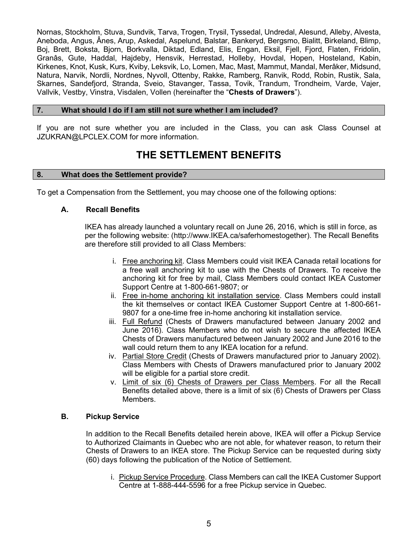Nornas, Stockholm, Stuva, Sundvik, Tarva, Trogen, Trysil, Tyssedal, Undredal, Alesund, Alleby, Alvesta, Aneboda, Angus, Ânes, Arup, Askedal, Aspelund, Balstar, Bankeryd, Bergsmo, Bialitt, Birkeland, Blimp, Boj, Brett, Boksta, Bjorn, Borkvalla, Diktad, Edland, Elis, Engan, Eksil, Fjell, Fjord, Flaten, Fridolin, Granâs, Gute, Haddal, Hajdeby, Hensvik, Herrestad, Holleby, Hovdal, Hopen, Hosteland, Kabin, Kirkenes, Knot, Kusk, Kurs, Kviby, Leksvik, Lo, Lomen, Mac, Mast, Mammut, Mandal, Merâker, Midsund, Natura, Narvik, Nordli, Nordnes, Nyvoll, Ottenby, Rakke, Ramberg, Ranvik, Rodd, Robin, Rustik, Sala, Skarnes, Sandefjord, Stranda, Sveio, Stavanger, Tassa, Tovik, Trandum, Trondheim, Varde, Vajer, Vallvik, Vestby, Vinstra, Visdalen, Vollen (hereinafter the "**Chests of Drawers**").

#### **7. What should I do if I am still not sure whether I am included?**

If you are not sure whether you are included in the Class, you can ask Class Counsel at JZUKRAN@LPCLEX.COM for more information.

# **THE SETTLEMENT BENEFITS**

#### <span id="page-4-0"></span>**8. What does the Settlement provide?**

To get a Compensation from the Settlement, you may choose one of the following options:

#### **A. Recall Benefits**

IKEA has already launched a voluntary recall on June 26, 2016, which is still in force, as per the following website: (http://www.IKEA.ca/saferhomestogether). The Recall Benefits are therefore still provided to all Class Members:

- i. Free anchoring kit. Class Members could visit IKEA Canada retail locations for a free wall anchoring kit to use with the Chests of Drawers. To receive the anchoring kit for free by mail, Class Members could contact IKEA Customer Support Centre at 1-800-661-9807; or
- ii. Free in-home anchoring kit installation service. Class Members could install the kit themselves or contact IKEA Customer Support Centre at 1-800-661- 9807 for a one-time free in-home anchoring kit installation service.
- iii. Full Refund (Chests of Drawers manufactured between January 2002 and June 2016). Class Members who do not wish to secure the affected IKEA Chests of Drawers manufactured between January 2002 and June 2016 to the wall could return them to any IKEA location for a refund.
- iv. Partial Store Credit (Chests of Drawers manufactured prior to January 2002). Class Members with Chests of Drawers manufactured prior to January 2002 will be eligible for a partial store credit.
- v. Limit of six (6) Chests of Drawers per Class Members. For all the Recall Benefits detailed above, there is a limit of six (6) Chests of Drawers per Class Members.

## **B. Pickup Service**

In addition to the Recall Benefits detailed herein above, IKEA will offer a Pickup Service to Authorized Claimants in Quebec who are not able, for whatever reason, to return their Chests of Drawers to an IKEA store. The Pickup Service can be requested during sixty (60) days following the publication of the Notice of Settlement.

i. Pickup Service Procedure. Class Members can call the IKEA Customer Support Centre at 1-888-444-5596 for a free Pickup service in Quebec.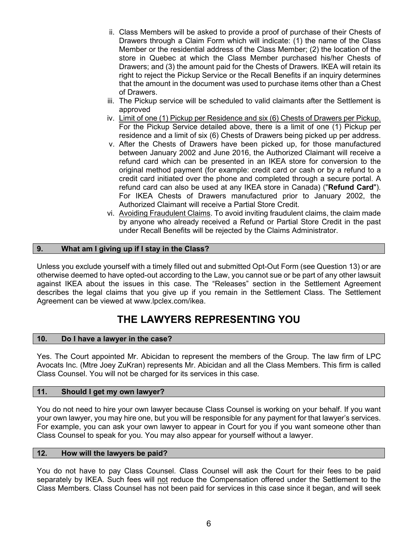- ii. Class Members will be asked to provide a proof of purchase of their Chests of Drawers through a Claim Form which will indicate: (1) the name of the Class Member or the residential address of the Class Member; (2) the location of the store in Quebec at which the Class Member purchased his/her Chests of Drawers; and (3) the amount paid for the Chests of Drawers. IKEA will retain its right to reject the Pickup Service or the Recall Benefits if an inquiry determines that the amount in the document was used to purchase items other than a Chest of Drawers.
- iii. The Pickup service will be scheduled to valid claimants after the Settlement is approved
- iv. Limit of one (1) Pickup per Residence and six (6) Chests of Drawers per Pickup. For the Pickup Service detailed above, there is a limit of one (1) Pickup per residence and a limit of six (6) Chests of Drawers being picked up per address.
- v. After the Chests of Drawers have been picked up, for those manufactured between January 2002 and June 2016, the Authorized Claimant will receive a refund card which can be presented in an IKEA store for conversion to the original method payment (for example: credit card or cash or by a refund to a credit card initiated over the phone and completed through a secure portal. A refund card can also be used at any IKEA store in Canada) ("**Refund Card**"). For IKEA Chests of Drawers manufactured prior to January 2002, the Authorized Claimant will receive a Partial Store Credit.
- vi. Avoiding Fraudulent Claims. To avoid inviting fraudulent claims, the claim made by anyone who already received a Refund or Partial Store Credit in the past under Recall Benefits will be rejected by the Claims Administrator.

## **9. What am I giving up if I stay in the Class?**

Unless you exclude yourself with a timely filled out and submitted Opt-Out Form (see Question [13\)](#page-6-2) or are otherwise deemed to have opted-out according to the Law, you cannot sue or be part of any other lawsuit against IKEA about the issues in this case. The "Releases" section in the Settlement Agreement describes the legal claims that you give up if you remain in the Settlement Class. The Settlement Agreement can be viewed at www.lpclex.com/ikea.

# **THE LAWYERS REPRESENTING YOU**

## <span id="page-5-0"></span>**10. Do I have a lawyer in the case?**

Yes. The Court appointed Mr. Abicidan to represent the members of the Group. The law firm of LPC Avocats Inc. (Mtre Joey ZuKran) represents Mr. Abicidan and all the Class Members. This firm is called Class Counsel. You will not be charged for its services in this case.

## **11. Should I get my own lawyer?**

You do not need to hire your own lawyer because Class Counsel is working on your behalf. If you want your own lawyer, you may hire one, but you will be responsible for any payment for that lawyer's services. For example, you can ask your own lawyer to appear in Court for you if you want someone other than Class Counsel to speak for you. You may also appear for yourself without a lawyer.

#### **12. How will the lawyers be paid?**

You do not have to pay Class Counsel. Class Counsel will ask the Court for their fees to be paid separately by IKEA. Such fees will not reduce the Compensation offered under the Settlement to the Class Members. Class Counsel has not been paid for services in this case since it began, and will seek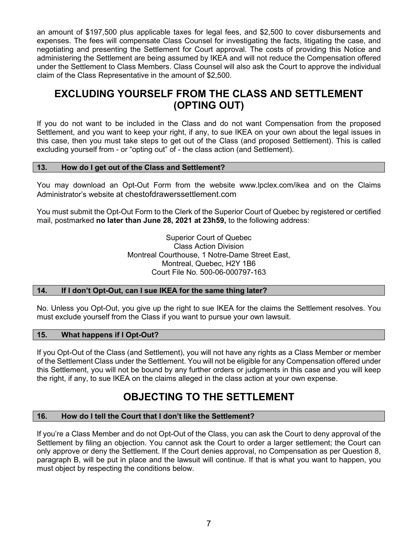an amount of \$197,500 plus applicable taxes for legal fees, and \$2,500 to cover disbursements and expenses. The fees will compensate Class Counsel for investigating the facts, litigating the case, and negotiating and presenting the Settlement for Court approval. The costs of providing this Notice and administering the Settlement are being assumed by IKEA and will not reduce the Compensation offered under the Settlement to Class Members. Class Counsel will also ask the Court to approve the individual claim of the Class Representative in the amount of \$2,500.

## <span id="page-6-0"></span>**EXCLUDING YOURSELF FROM THE CLASS AND SETTLEMENT (OPTING OUT)**

If you do not want to be included in the Class and do not want Compensation from the proposed Settlement, and you want to keep your right, if any, to sue IKEA on your own about the legal issues in this case, then you must take steps to get out of the Class (and proposed Settlement). This is called excluding yourself from - or "opting out" of - the class action (and Settlement).

## <span id="page-6-2"></span>**13. How do I get out of the Class and Settlement?**

You may download an Opt-Out Form from the website www.lpclex.com/ikea and on the Claims Administrator's website at chestofdrawerssettlement.com

You must submit the Opt-Out Form to the Clerk of the Superior Court of Quebec by registered or certified mail, postmarked **no later than June 28, 2021 at 23h59,** to the following address:

> Superior Court of Quebec Class Action Division Montreal Courthouse, 1 Notre-Dame Street East, Montreal, Quebec, H2Y 1B6 Court File No. 500-06-000797-163

## **14. If I don't Opt-Out, can I sue IKEA for the same thing later?**

No. Unless you Opt-Out, you give up the right to sue IKEA for the claims the Settlement resolves. You must exclude yourself from the Class if you want to pursue your own lawsuit.

## **15. What happens if I Opt-Out?**

If you Opt-Out of the Class (and Settlement), you will not have any rights as a Class Member or member of the Settlement Class under the Settlement. You will not be eligible for any Compensation offered under this Settlement, you will not be bound by any further orders or judgments in this case and you will keep the right, if any, to sue IKEA on the claims alleged in the class action at your own expense.

# **OBJECTING TO THE SETTLEMENT**

## <span id="page-6-1"></span>**16. How do I tell the Court that I don't like the Settlement?**

If you're a Class Member and do not Opt-Out of the Class, you can ask the Court to deny approval of the Settlement by filing an objection. You cannot ask the Court to order a larger settlement; the Court can only approve or deny the Settlement. If the Court denies approval, no Compensation as per Question 8, paragraph B, will be put in place and the lawsuit will continue. If that is what you want to happen, you must object by respecting the conditions below.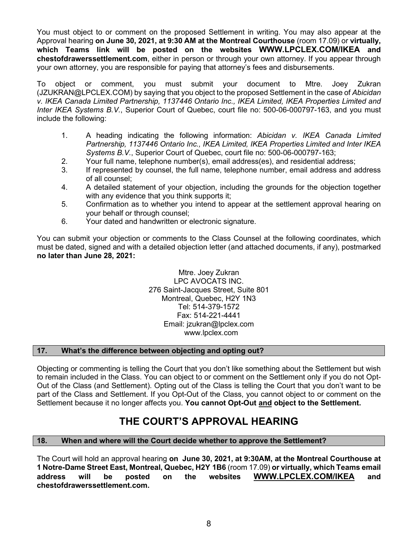You must object to or comment on the proposed Settlement in writing. You may also appear at the Approval hearing **on June 30, 2021, at 9:30 AM at the Montreal Courthouse** (room 17.09) or **virtually, which Teams link will be posted on the websites WWW.LPCLEX.COM/IKEA and chestofdrawerssettlement.com**, either in person or through your own attorney. If you appear through your own attorney, you are responsible for paying that attorney's fees and disbursements.

To object or comment, you must submit your document to Mtre. Joey Zukran (JZUKRAN@LPCLEX.COM) by saying that you object to the proposed Settlement in the case of *Abicidan v. IKEA Canada Limited Partnership, 1137446 Ontario Inc., IKEA Limited, IKEA Properties Limited and Inter IKEA Systems B.V.*, Superior Court of Quebec, court file no: 500-06-000797-163, and you must include the following:

- 1. A heading indicating the following information: *Abicidan v. IKEA Canada Limited Partnership, 1137446 Ontario Inc., IKEA Limited, IKEA Properties Limited and Inter IKEA Systems B.V.*, Superior Court of Quebec, court file no: 500-06-000797-163;
- 2. Your full name, telephone number(s), email address(es), and residential address;
- 3. If represented by counsel, the full name, telephone number, email address and address of all counsel;
- 4. A detailed statement of your objection, including the grounds for the objection together with any evidence that you think supports it:
- 5. Confirmation as to whether you intend to appear at the settlement approval hearing on your behalf or through counsel;
- 6. Your dated and handwritten or electronic signature.

You can submit your objection or comments to the Class Counsel at the following coordinates, which must be dated, signed and with a detailed objection letter (and attached documents, if any), postmarked **no later than June 28, 2021:**

> Mtre. Joey Zukran LPC AVOCATS INC. 276 Saint-Jacques Street, Suite 801 Montreal, Quebec, H2Y 1N3 Tel: 514-379-1572 Fax: 514-221-4441 Email: jzukran@lpclex.com www.lpclex.com

## **17. What's the difference between objecting and opting out?**

Objecting or commenting is telling the Court that you don't like something about the Settlement but wish to remain included in the Class. You can object to or comment on the Settlement only if you do not Opt-Out of the Class (and Settlement). Opting out of the Class is telling the Court that you don't want to be part of the Class and Settlement. If you Opt-Out of the Class, you cannot object to or comment on the Settlement because it no longer affects you. **You cannot Opt-Out and object to the Settlement.**

## **THE COURT'S APPROVAL HEARING**

## <span id="page-7-0"></span>**18. When and where will the Court decide whether to approve the Settlement?**

The Court will hold an approval hearing **on June 30, 2021, at 9:30AM, at the Montreal Courthouse at 1 Notre-Dame Street East, Montreal, Quebec, H2Y 1B6** (room 17.09) **or virtually, which Teams email address will be posted on the websites [WWW.LPCLEX.COM/IKEA](http://www.lpclex.com/IKEA) and chestofdrawerssettlement.com.**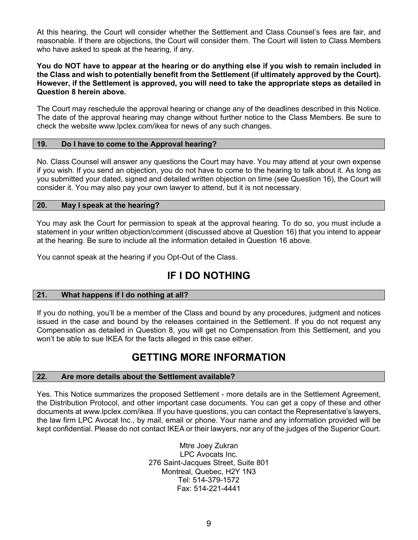At this hearing, the Court will consider whether the Settlement and Class Counsel's fees are fair, and reasonable. If there are objections, the Court will consider them. The Court will listen to Class Members who have asked to speak at the hearing, if any.

#### **You do NOT have to appear at the hearing or do anything else if you wish to remain included in the Class and wish to potentially benefit from the Settlement (if ultimately approved by the Court). However, if the Settlement is approved, you will need to take the appropriate steps as detailed in Question 8 herein above.**

The Court may reschedule the approval hearing or change any of the deadlines described in this Notice. The date of the approval hearing may change without further notice to the Class Members. Be sure to check the website www.lpclex.com/ikea for news of any such changes.

#### **19. Do I have to come to the Approval hearing?**

No. Class Counsel will answer any questions the Court may have. You may attend at your own expense if you wish. If you send an objection, you do not have to come to the hearing to talk about it. As long as you submitted your dated, signed and detailed written objection on time (see Question 16), the Court will consider it. You may also pay your own lawyer to attend, but it is not necessary.

#### **20. May I speak at the hearing?**

You may ask the Court for permission to speak at the approval hearing. To do so, you must include a statement in your written objection/comment (discussed above at Question 16) that you intend to appear at the hearing. Be sure to include all the information detailed in Question 16 above.

<span id="page-8-0"></span>You cannot speak at the hearing if you Opt-Out of the Class.

## <span id="page-8-1"></span>**IF I DO NOTHING**

## **21. What happens if I do nothing at all?**

If you do nothing, you'll be a member of the Class and bound by any procedures, judgment and notices issued in the case and bound by the releases contained in the Settlement. If you do not request any Compensation as detailed in Question 8, you will get no Compensation from this Settlement, and you won't be able to sue IKEA for the facts alleged in this case either.

## **GETTING MORE INFORMATION**

#### **22. Are more details about the Settlement available?**

Yes. This Notice summarizes the proposed Settlement - more details are in the Settlement Agreement, the Distribution Protocol, and other important case documents. You can get a copy of these and other documents at www.lpclex.com/ikea. If you have questions, you can contact the Representative's lawyers, the law firm LPC Avocat Inc., by mail, email or phone. Your name and any information provided will be kept confidential. Please do not contact IKEA or their lawyers, nor any of the judges of the Superior Court.

> Mtre Joey Zukran LPC Avocats Inc. 276 Saint-Jacques Street, Suite 801 Montreal, Quebec, H2Y 1N3 Tel: 514-379-1572 Fax: 514-221-4441